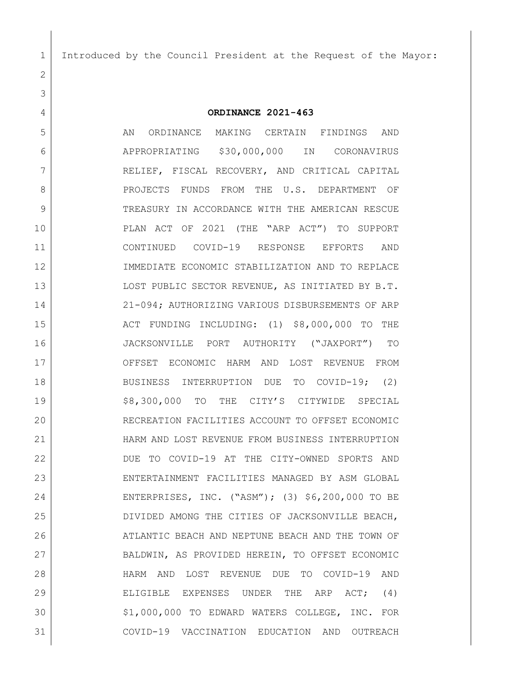Introduced by the Council President at the Request of the Mayor:

**ORDINANCE 2021-463**

 AN ORDINANCE MAKING CERTAIN FINDINGS AND APPROPRIATING \$30,000,000 IN CORONAVIRUS RELIEF, FISCAL RECOVERY, AND CRITICAL CAPITAL **PROJECTS FUNDS FROM THE U.S. DEPARTMENT OF** 9 TREASURY IN ACCORDANCE WITH THE AMERICAN RESCUE PLAN ACT OF 2021 (THE "ARP ACT") TO SUPPORT CONTINUED COVID-19 RESPONSE EFFORTS AND IMMEDIATE ECONOMIC STABILIZATION AND TO REPLACE 13 LOST PUBLIC SECTOR REVENUE, AS INITIATED BY B.T. 21-094; AUTHORIZING VARIOUS DISBURSEMENTS OF ARP 15 ACT FUNDING INCLUDING: (1) \$8,000,000 TO THE JACKSONVILLE PORT AUTHORITY ("JAXPORT") TO OFFSET ECONOMIC HARM AND LOST REVENUE FROM BUSINESS INTERRUPTION DUE TO COVID-19; (2) 19 58,300,000 TO THE CITY'S CITYWIDE SPECIAL RECREATION FACILITIES ACCOUNT TO OFFSET ECONOMIC HARM AND LOST REVENUE FROM BUSINESS INTERRUPTION DUE TO COVID-19 AT THE CITY-OWNED SPORTS AND ENTERTAINMENT FACILITIES MANAGED BY ASM GLOBAL ENTERPRISES, INC. ("ASM"); (3) \$6,200,000 TO BE DIVIDED AMONG THE CITIES OF JACKSONVILLE BEACH, 26 ATLANTIC BEACH AND NEPTUNE BEACH AND THE TOWN OF BALDWIN, AS PROVIDED HEREIN, TO OFFSET ECONOMIC HARM AND LOST REVENUE DUE TO COVID-19 AND ELIGIBLE EXPENSES UNDER THE ARP ACT; (4) \$1,000,000 TO EDWARD WATERS COLLEGE, INC. FOR COVID-19 VACCINATION EDUCATION AND OUTREACH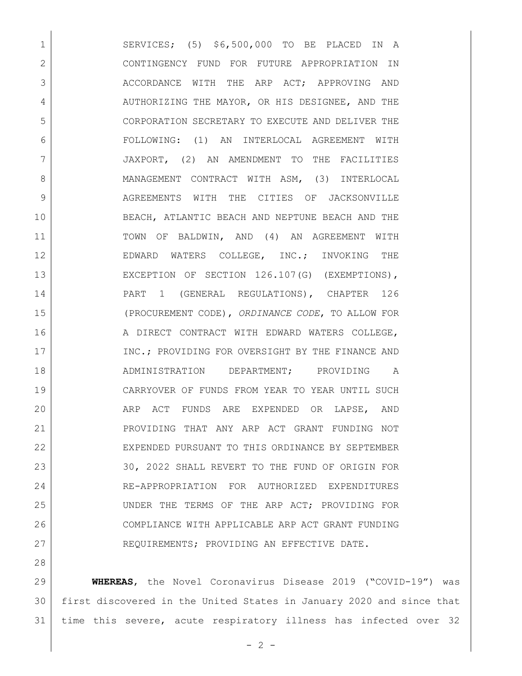1 SERVICES; (5) \$6,500,000 TO BE PLACED IN A 2 CONTINGENCY FUND FOR FUTURE APPROPRIATION IN 3 ACCORDANCE WITH THE ARP ACT; APPROVING AND 4 AUTHORIZING THE MAYOR, OR HIS DESIGNEE, AND THE 5 CORPORATION SECRETARY TO EXECUTE AND DELIVER THE 6 FOLLOWING: (1) AN INTERLOCAL AGREEMENT WITH 7 JAXPORT, (2) AN AMENDMENT TO THE FACILITIES 8 MANAGEMENT CONTRACT WITH ASM, (3) INTERLOCAL 9 AGREEMENTS WITH THE CITIES OF JACKSONVILLE 10 BEACH, ATLANTIC BEACH AND NEPTUNE BEACH AND THE 11 TOWN OF BALDWIN, AND (4) AN AGREEMENT WITH 12 | EDWARD WATERS COLLEGE, INC.; INVOKING THE 13 EXCEPTION OF SECTION 126.107(G) (EXEMPTIONS), 14 | PART 1 (GENERAL REGULATIONS), CHAPTER 126 15 (PROCUREMENT CODE), *ORDINANCE CODE*, TO ALLOW FOR 16 | A DIRECT CONTRACT WITH EDWARD WATERS COLLEGE, 17 INC.; PROVIDING FOR OVERSIGHT BY THE FINANCE AND 18 ADMINISTRATION DEPARTMENT; PROVIDING A 19 CARRYOVER OF FUNDS FROM YEAR TO YEAR UNTIL SUCH 20 ARP ACT FUNDS ARE EXPENDED OR LAPSE, AND 21 PROVIDING THAT ANY ARP ACT GRANT FUNDING NOT 22 EXPENDED PURSUANT TO THIS ORDINANCE BY SEPTEMBER 23 30, 2022 SHALL REVERT TO THE FUND OF ORIGIN FOR 24 | RE-APPROPRIATION FOR AUTHORIZED EXPENDITURES 25 UNDER THE TERMS OF THE ARP ACT; PROVIDING FOR 26 COMPLIANCE WITH APPLICABLE ARP ACT GRANT FUNDING 27 REQUIREMENTS; PROVIDING AN EFFECTIVE DATE.

29 **WHEREAS**, the Novel Coronavirus Disease 2019 ("COVID-19") was 30 first discovered in the United States in January 2020 and since that 31 time this severe, acute respiratory illness has infected over 32

28

 $- 2 -$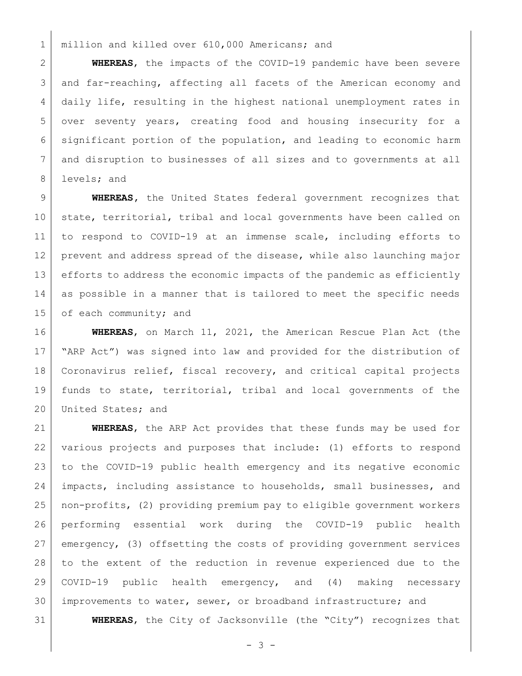1 | million and killed over 610,000 Americans; and

 **WHEREAS**, the impacts of the COVID-19 pandemic have been severe and far-reaching, affecting all facets of the American economy and daily life, resulting in the highest national unemployment rates in over seventy years, creating food and housing insecurity for a significant portion of the population, and leading to economic harm and disruption to businesses of all sizes and to governments at all 8 levels; and

 **WHEREAS,** the United States federal government recognizes that 10 state, territorial, tribal and local governments have been called on to respond to COVID-19 at an immense scale, including efforts to prevent and address spread of the disease, while also launching major 13 efforts to address the economic impacts of the pandemic as efficiently as possible in a manner that is tailored to meet the specific needs 15 of each community; and

 **WHEREAS**, on March 11, 2021, the American Rescue Plan Act (the "ARP Act") was signed into law and provided for the distribution of Coronavirus relief, fiscal recovery, and critical capital projects funds to state, territorial, tribal and local governments of the 20 United States; and

 **WHEREAS**, the ARP Act provides that these funds may be used for various projects and purposes that include: (1) efforts to respond to the COVID-19 public health emergency and its negative economic impacts, including assistance to households, small businesses, and non-profits, (2) providing premium pay to eligible government workers performing essential work during the COVID-19 public health emergency, (3) offsetting the costs of providing government services to the extent of the reduction in revenue experienced due to the COVID-19 public health emergency, and (4) making necessary improvements to water, sewer, or broadband infrastructure; and

**WHEREAS**, the City of Jacksonville (the "City") recognizes that

 $- 3 -$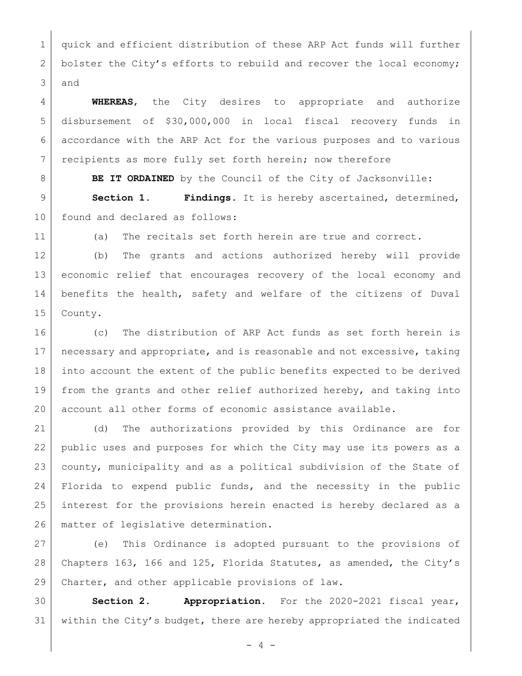quick and efficient distribution of these ARP Act funds will further 2 bolster the City's efforts to rebuild and recover the local economy; and

 **WHEREAS**, the City desires to appropriate and authorize disbursement of \$30,000,000 in local fiscal recovery funds in accordance with the ARP Act for the various purposes and to various 7 recipients as more fully set forth herein; now therefore

**BE IT ORDAINED** by the Council of the City of Jacksonville: **Section 1. Findings**. It is hereby ascertained, determined,

found and declared as follows:

(a) The recitals set forth herein are true and correct.

 (b) The grants and actions authorized hereby will provide economic relief that encourages recovery of the local economy and benefits the health, safety and welfare of the citizens of Duval County.

 (c) The distribution of ARP Act funds as set forth herein is 17 | necessary and appropriate, and is reasonable and not excessive, taking into account the extent of the public benefits expected to be derived from the grants and other relief authorized hereby, and taking into account all other forms of economic assistance available.

 (d) The authorizations provided by this Ordinance are for public uses and purposes for which the City may use its powers as a county, municipality and as a political subdivision of the State of Florida to expend public funds, and the necessity in the public interest for the provisions herein enacted is hereby declared as a matter of legislative determination.

 (e) This Ordinance is adopted pursuant to the provisions of Chapters 163, 166 and 125, Florida Statutes, as amended, the City's Charter, and other applicable provisions of law.

 **Section 2. Appropriation.** For the 2020-2021 fiscal year, within the City's budget, there are hereby appropriated the indicated

 $- 4 -$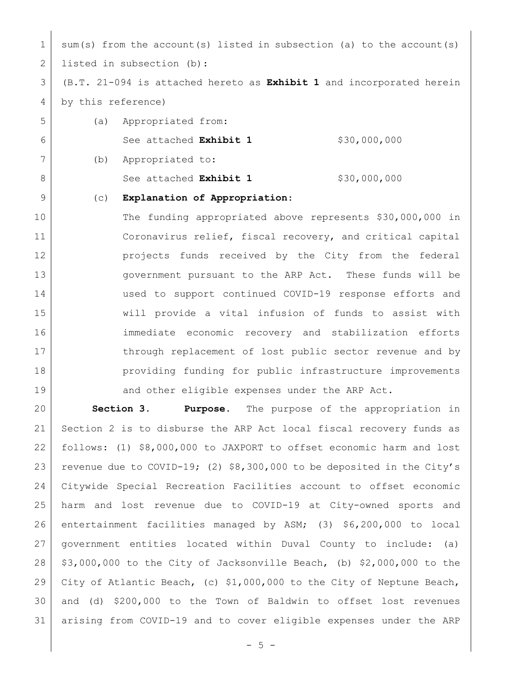1 sum(s) from the account(s) listed in subsection (a) to the account(s) 2 listed in subsection (b):

 (B.T. 21-094 is attached hereto as **Exhibit 1** and incorporated herein by this reference)

 (a) Appropriated from: See attached **Exhibit 1** \$30,000,000 (b) Appropriated to: 8 See attached **Exhibit 1** \$30,000,000

## (c) **Explanation of Appropriation**:

 The funding appropriated above represents \$30,000,000 in Coronavirus relief, fiscal recovery, and critical capital projects funds received by the City from the federal **government** pursuant to the ARP Act. These funds will be used to support continued COVID-19 response efforts and will provide a vital infusion of funds to assist with immediate economic recovery and stabilization efforts 17 through replacement of lost public sector revenue and by **providing funding for public infrastructure improvements** 19 and other eligible expenses under the ARP Act.

 **Section 3. Purpose.** The purpose of the appropriation in Section 2 is to disburse the ARP Act local fiscal recovery funds as follows: (1) \$8,000,000 to JAXPORT to offset economic harm and lost revenue due to COVID-19; (2) \$8,300,000 to be deposited in the City's Citywide Special Recreation Facilities account to offset economic harm and lost revenue due to COVID-19 at City-owned sports and entertainment facilities managed by ASM; (3) \$6,200,000 to local government entities located within Duval County to include: (a)  $\frac{1}{3}$ ,000,000 to the City of Jacksonville Beach, (b) \$2,000,000 to the City of Atlantic Beach, (c) \$1,000,000 to the City of Neptune Beach, and (d) \$200,000 to the Town of Baldwin to offset lost revenues arising from COVID-19 and to cover eligible expenses under the ARP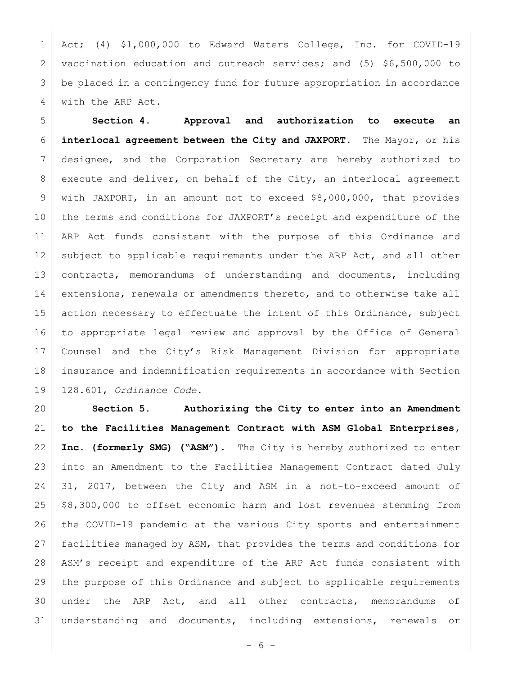Act; (4) \$1,000,000 to Edward Waters College, Inc. for COVID-19 vaccination education and outreach services; and (5) \$6,500,000 to be placed in a contingency fund for future appropriation in accordance 4 with the ARP Act.

 **Section 4**. **Approval and authorization to execute an interlocal agreement between the City and JAXPORT.** The Mayor, or his designee, and the Corporation Secretary are hereby authorized to 8 execute and deliver, on behalf of the City, an interlocal agreement with JAXPORT, in an amount not to exceed \$8,000,000, that provides 10 the terms and conditions for JAXPORT's receipt and expenditure of the ARP Act funds consistent with the purpose of this Ordinance and 12 subject to applicable requirements under the ARP Act, and all other contracts, memorandums of understanding and documents, including 14 extensions, renewals or amendments thereto, and to otherwise take all 15 action necessary to effectuate the intent of this Ordinance, subject to appropriate legal review and approval by the Office of General Counsel and the City's Risk Management Division for appropriate insurance and indemnification requirements in accordance with Section 128.601, *Ordinance Code*.

 **Section 5. Authorizing the City to enter into an Amendment to the Facilities Management Contract with ASM Global Enterprises, Inc. (formerly SMG) ("ASM").** The City is hereby authorized to enter into an Amendment to the Facilities Management Contract dated July 31, 2017, between the City and ASM in a not-to-exceed amount of \$8,300,000 to offset economic harm and lost revenues stemming from the COVID-19 pandemic at the various City sports and entertainment facilities managed by ASM, that provides the terms and conditions for ASM's receipt and expenditure of the ARP Act funds consistent with 29 the purpose of this Ordinance and subject to applicable requirements under the ARP Act, and all other contracts, memorandums of understanding and documents, including extensions, renewals or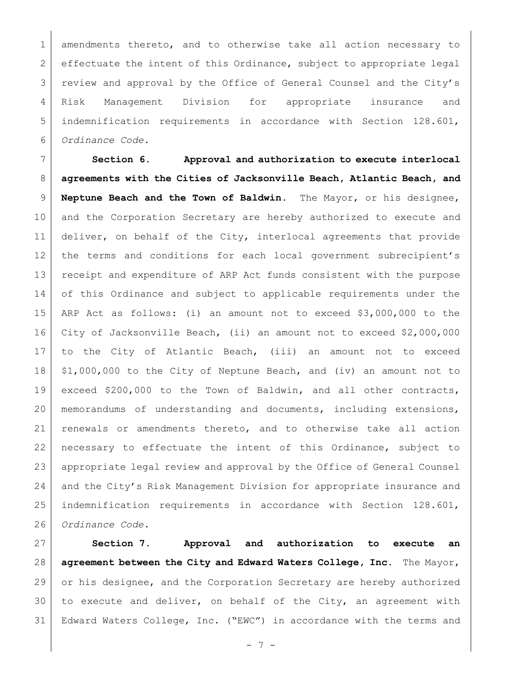1 amendments thereto, and to otherwise take all action necessary to effectuate the intent of this Ordinance, subject to appropriate legal review and approval by the Office of General Counsel and the City's Risk Management Division for appropriate insurance and indemnification requirements in accordance with Section 128.601, *Ordinance Code*.

 **Section 6. Approval and authorization to execute interlocal agreements with the Cities of Jacksonville Beach, Atlantic Beach, and Neptune Beach and the Town of Baldwin.** The Mayor, or his designee, and the Corporation Secretary are hereby authorized to execute and deliver, on behalf of the City, interlocal agreements that provide 12 | the terms and conditions for each local government subrecipient's receipt and expenditure of ARP Act funds consistent with the purpose 14 of this Ordinance and subject to applicable requirements under the ARP Act as follows: (i) an amount not to exceed \$3,000,000 to the City of Jacksonville Beach, (ii) an amount not to exceed \$2,000,000 to the City of Atlantic Beach, (iii) an amount not to exceed \$1,000,000 to the City of Neptune Beach, and (iv) an amount not to exceed \$200,000 to the Town of Baldwin, and all other contracts, memorandums of understanding and documents, including extensions, renewals or amendments thereto, and to otherwise take all action necessary to effectuate the intent of this Ordinance, subject to appropriate legal review and approval by the Office of General Counsel 24 and the City's Risk Management Division for appropriate insurance and indemnification requirements in accordance with Section 128.601, *Ordinance Code*.

 **Section 7. Approval and authorization to execute an agreement between the City and Edward Waters College, Inc.** The Mayor, 29 or his designee, and the Corporation Secretary are hereby authorized 30 to execute and deliver, on behalf of the City, an agreement with Edward Waters College, Inc. ("EWC") in accordance with the terms and

 $- 7 -$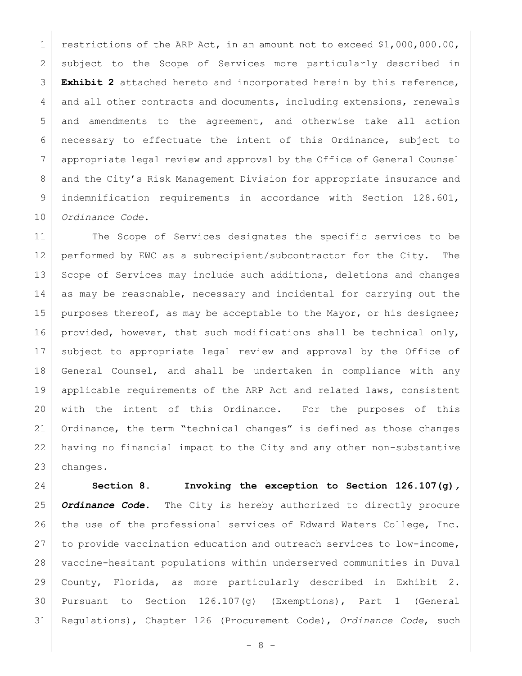1 restrictions of the ARP Act, in an amount not to exceed \$1,000,000.00, subject to the Scope of Services more particularly described in **Exhibit 2** attached hereto and incorporated herein by this reference, 4 and all other contracts and documents, including extensions, renewals and amendments to the agreement, and otherwise take all action necessary to effectuate the intent of this Ordinance, subject to appropriate legal review and approval by the Office of General Counsel 8 and the City's Risk Management Division for appropriate insurance and indemnification requirements in accordance with Section 128.601, *Ordinance Code*.

11 The Scope of Services designates the specific services to be performed by EWC as a subrecipient/subcontractor for the City. The 13 Scope of Services may include such additions, deletions and changes as may be reasonable, necessary and incidental for carrying out the 15 | purposes thereof, as may be acceptable to the Mayor, or his designee; 16 | provided, however, that such modifications shall be technical only, subject to appropriate legal review and approval by the Office of General Counsel, and shall be undertaken in compliance with any applicable requirements of the ARP Act and related laws, consistent with the intent of this Ordinance. For the purposes of this Ordinance, the term "technical changes" is defined as those changes having no financial impact to the City and any other non-substantive changes.

 **Section 8. Invoking the exception to Section 126.107(g)***, Ordinance Code***.** The City is hereby authorized to directly procure the use of the professional services of Edward Waters College, Inc. to provide vaccination education and outreach services to low-income, vaccine-hesitant populations within underserved communities in Duval County, Florida, as more particularly described in Exhibit 2. Pursuant to Section 126.107(g) (Exemptions), Part 1 (General Regulations), Chapter 126 (Procurement Code), *Ordinance Code*, such